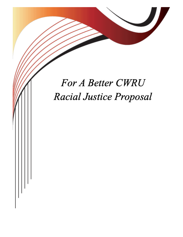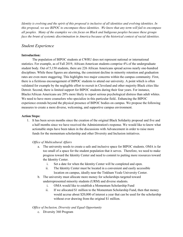*Identity is evolving and the spirit of this proposal is inclusive of all identities and evolving identities. In this proposal, we use BIPOC to encompass these identities. We know that any term will fail to encompass all peoples. Many of the examples we cite focus on Black and Indigeous peoples because these groups face the brunt of systemic discrimination in America because of the historical context of racial identities.*

# *Student Experience*

## **Introduction:**

The population of BIPOC students at CWRU does not represent national or international statistics. For example, as of Fall 2019, African-American students comprise 4% of the undergraduate student body. Out of 5,150 students, there are 226 African Americans spread across nearly one-hundred disciplines. While these figures are alarming, the consistent decline in minority retention and graduation rates are even more staggering. This highlights two major concerns within the campus community. First, there is a fictitious encouragement of BIPOC students to attend our university. A point which is often validated for example by the negligible effort to recruit in Cleveland and other majority Black cities like Detroit. Second, there is limited support for BIPOC students during their four years. For instance, Blacks/African Americans are 20% more likely to report serious psychological distress than adult whites. We need to have more counselors who specialize in this particular field.. Enhancing the BIPOC experience extends beyond the physical presence of BIPOC bodies on campus. We propose the following measures to create a more diverse, welcoming, and supportive campus environment.

## **Action Steps:**

1. It has been seven months since the creation of the original Black Solidarity proposal and five and a half months since we have received the Administration's response. We would like to know what actionable steps have been taken in the discussions with Advancement in order to raise more funds for the momentum scholarship and other Diversity and Inclusion initiatives.

## *Office of Multicultural Affairs*

- a. The university needs to create a safe and inclusive space for BIPOC students. OMA is far too small of a space for the student population that it serves. Therefore, we need to make progress toward the Identity Center and need to commit to putting more resources toward the Identity Center.
	- i. Set a date for when the Identity Center will be completed and open.
	- ii. The Identity Center must be located in a convenient and easily accessible location on campus, ideally near the Tinkham Veale University Center.
- b. The university must allocate more money for scholarships targeted toward underrepresented minority students (URM) and diverse students.
	- i. OMA would like to establish a Momentum Scholarship Fund
	- ii. If we allocated \$1 million to the Momentum Scholarship Fund, then that money would accrue about \$20,000 of interest a year that can be used for the scholarship without ever drawing from the original \$1 million.

## *Office of Inclusion, Diversity and Equal Opportunity*

c. Diversity 360 Program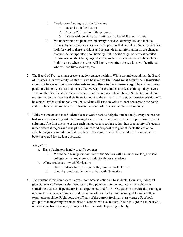- i. Needs more funding to do the following:
	- 1. Pay and train facilitators.
	- 2. Create a 2.0 version of the program.
	- 3. Partner with outside organizations (Ex. Racial Equity Institute).
- ii. We understand that plans are underway to revise Diversity 360 and include Change Agent sessions as next steps for persons that complete Diversity 360. We look forward to these revisions and request detailed information on the changes that will be incorporated into Diversity 360. Additionally, we request detailed information on the Change Agent series, such as what sessions will be included in this series, when the series will begin, how often the sessions will be offered, who will facilitate sessions, etc.
- 2. The Board of Trustees must create a student trustee position. While we understand that the Board of Trustees is its own entity, as students we believe that **the Board must adjust their leadership structure in a way that allows students to contribute to decision-making.** The student trustee position will be the easiest and most effective way for the students to feel as though they have a voice on the Board and that their viewpoints and opinions are being heard. Students should have representation that matches their financial input to the university. The student trustee position will be elected by the student body and that student will serve to voice student concerns to the board and be a link of communication between the Board of Trustees and the student body.
- 3. While we understand that Student Success works hard to help the student body, everyone has not had success connecting with their navigators. In order to mitigate this, we propose two different solutions. The first one is to assign each navigator to a college rather than to a variety of students under different majors and disciplines. Our second proposal is to give students the option to switch navigators in order to find one they better connect with. This would help navigators be better prepared for student questions.

#### *Navigators*

- a. Have Navigators handle specific colleges
	- i. Would help Navigators familiarize themselves with the inner workings of said colleges and allow them to productively assist students
- b. Allow students to switch Navigators
	- i. Helps students find a Navigator they are comfortable with.
	- ii. Should promote student interaction with Navigators
- 4. The student admission process leaves roommate selection up to students. However, it doesn't give students sufficient useful resources to find potential roommates. Roommate choice is something that can shape the freshman experience, and for BIPOC students specifically, finding a roommate who is accepting and understanding of their background is integral to making their experience positive. Right now, the officers of the current freshman class create a Facebook group for the incoming freshman class to connect with each other. While this group can be useful, not everyone has Facebook, or may not feel comfortable posting publicly.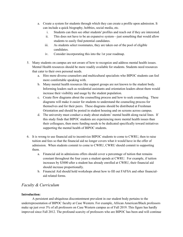- a. Create a system for students through which they can create a profile upon admission. It can include a quick biography, hobbies, social media, etc.
	- i. Students can then see other students' profiles and reach out if they are interested.
	- ii. This does not have to be an expansive system––just something that would allow students to easily find potential candidates.
	- iii. As students select roommates, they are taken out of the pool of eligible candidates.
	- iv. Consider incorporating this into the 1st year roadmap.
- 5. Many students on campus are not aware of how to recognize and address mental health issues. Mental Health resources should be more readily available for students. Students need resources that cater to their own personal needs.
	- a. Hire more diverse counselors and multicultural specialists who BIPOC students can feel more comfortable speaking with.
	- b. Many mental health resources like support groups are not known to the student body. Informing leaders such as residential assistants and orientation leaders about them would increase their visibility and usage by the student population.
	- c. Create flow diagrams about the counselling process and how to seek counseling. These diagrams will make it easier for students to understand the counseling process for themselves and for their peers. These diagrams should be distributed at Freshman Orientation and should be posted in student housing and on screens across campus.
	- d. The university must conduct a study about students' mental health along racial lines. If this study finds that BIPOC students are experiencing more mental health issues than their colleagues, then more funding needs to be dedicated specifically toward initiatives supporting the mental health of BIPOC students.
- 6. It is wrong to use financial aid to incentivize BIPOC students to come to CWRU, then to raise tuition and fees so that the financial aid no longer covers what it would have in the offer of admission. When students commit to come to CWRU, CWRU should commit to supporting them.
	- a. Financial aid in admissions offers should cover a percentage of tuition that remains constant throughout the four years a student spends at CWRU. For example, if tuition increases by \$3000 after a student has already enrolled at CWRU, their financial aid should increase proportionally.
	- b. Financial Aid should hold workshops about how to fill out FAFSA and other financialaid related forms.

# *Faculty & Curriculum*

## **Introduction:**

A persistent and ubiquitous discontentment prevalent in our student body pertains to the underrepresentation of BIPOC faculty at Case Western. For example, African American/Black professors make up just over 3% of all professors on Case Western campus as of Fall 2019. This figure has hardly improved since Fall 2012. The profound scarcity of professors who are BIPOC has been and will continue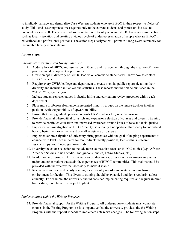to implicitly damage and demoralize Case Western students who are BIPOC in their respective fields of study. This sends a strong racial message not only to the current students and professors but also to potential ones as well. The severe underrepresentation of faculty who are BIPOC has serious implications such as faculty isolation and creating a vicious cycle of underrepresentation of people who are BIPOC in educational and professional positions. The action steps designed will promote a long-overdue remedy for inequitable faculty representation.

## **Action Steps:**

## *Faculty Representation and Hiring Initiatives*

- 1. Address lack of BIPOC representation in faculty and management through the creation of more professional development opportunities.
- 2. Create an opt-in directory of BIPOC leaders on campus so students will know how to contact BIPOC leaders.
- 3. Require every CWRU college and department to create biennial public reports detailing their diversity and inclusion initiatives and statistics. These reports should first be published in the 2021-2022 academic year.
- 4. Include student representatives in faculty hiring and curriculum review processes within each department.
- 5. Place more professors from underrepresented minority groups on the tenure-track or in other positions with the possibility of upward mobility.
- 6. Ensure that every graduate program recruits URM students for *funded* admission.
- 7. Provide financial wherewithal for a rich and expansion selection of courses and diversity training to provide continued education and increased awareness around issues of race and racial justice.
- 8. Implement an investigation on BIPOC faculty isolation by a nonpartisan third-party to understand how to better their experience and overall assistance on campus.
- 9. Implement an investigation of university hiring practices with the goal of helping departments to connect with BIPOC candidates for tenure-track faculty positions, lecturerships, research assistantships, and funded graduate study.
- 10. Diversify the course selection to include more courses that focus on BIPOC studies (e.g., African American Studies, Asian Studies, Indigineous Studies, Latinx Studies, etc.).
- 11. In addition to offering an African American Studies minor, offer an African American Studies major and other majors that study the experiences of BIPOC communities. This major should be provided with the wherewithal necessary to make it viable.
- 12. Re-evaluate and revise diversity training for all faculty in order to create a more inclusive environment for faculty. This diversity training should be expanded and done regularly, at least annually. For example, the university should consider implementing required and regular implicit bias testing, like Harvard's Project Implicit.

## *Implementation within the Writing Program*

13. Provide financial support for the Writing Program. All undergraduate students must complete courses in the Writing Program, so it is imperative that the university provides the the Writing Programs with the support it needs to implement anti-racist changes. The following action steps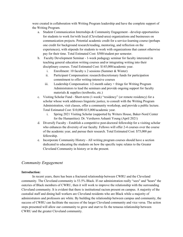were created in collaboration with Writing Program leadership and have the complete support of the Writing Program.

- a. Student Communication Internships & Community Engagement develop opportunities for students to work for/with local (Cleveland-area) organizations and businesses on communication projects. Potential academic credit for a service-learning course (perhaps one credit for background research/reading, mentoring, and reflection on the experiences), with stipends for students to work with organizations that cannot otherwise pay for their time. Total Estimated Cost: \$500/student per semester.
- b. Faculty Development Seminar 1-week pedagogy seminar for faculty interested in teaching general education writing courses and/or integrating writing into their disciplinary courses. Total Estimated Cost: \$145,000/academic year.
	- i. Enrollment: 10 faculty x 2 sessions (Summer & Winter)
	- ii. Participant Compensation: research/discretionary funds for participation commitment to offer writing-intensive courses
	- iii. Leadership Compensation:  $1/2$ -month salary + fringe for Writing Program Administrators to lead the seminars and provide ongoing support for faculty materials & supplies (textbooks, etc.)
- c. Visiting Scholar Fund Short-term (1-week) "residency" (or remote residency) for a scholar whose work addresses linguistic justice, to consult with the Writing Program Administration, visit classes, offer a community workshop, and provide a public lecture. Total Estimated Cost: \$10,000-\$15,000/academic year.
	- i. Spring 2021 Visiting Scholar (supported by Writers House, Baker-Nord Center for the Humanities): Dr. Vershawn Ashanti Young (April 2021)
- d. Diversify Faculty Establish a competitive post-doctoral fellowship for a visiting scholar who enhances the diversity of our faculty. Fellows will offer 2-4 courses over the course of the academic year, and pursue their research. Total Estimated Cost: \$75,000 per fellowship.
- e. Incorporate Community History All writing program courses should have a section dedicated to educating the students on how the specific topic relates to the Greater Cleveland Community in history or in the present.

# *Community Engagement*

## **Introduction:**

In recent years, there has been a fractured relationship between CWRU and the Cleveland community. The Cleveland community is 53.5% Black. If our administration really "sees" and "hears" the outcries of Black members of CWRU, then it will work to improve the relationship with the surrounding Cleveland community. It is evident that there is institutional racism present on campus. A majority of the custodial staff and dining hall workers are Cleveland residents who are Black while a majority of administrators and professors are white. By building the relationship between campus and community, the success of CWRU can facilitate the success of the larger Cleveland community and vice versa. The action steps presented will allow our community to grow and start to fix the tenuous relationship between CWRU and the greater Cleveland community.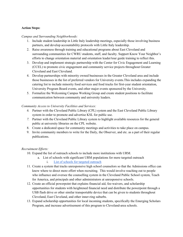#### **Action Steps:**

*Campus and Surrounding Neighborhoods:*

- 1. Include student leadership in Little Italy leadership meetings, especially those involving business partners, and develop accountability protocols with Little Italy leadership.
- 2. Raise awareness through training and educational programs about East Cleveland and surrounding communities for CWRU students, staff, and faculty. Support Know Your Neighbor's efforts to change orientation material and orientation leader/tour guide training to reflect this.
- 3. Develop and implement strategic partnership with the Center for Civic Engagement and Learning (CCEL) to promote civic engagement and community service projects throughout Greater Cleveland and East Cleveland.
- 4. Develop partnerships with minority owned businesses in the Greater Cleveland area and include those businesses in the list of preferred vendors for University events.This includes expanding the catering list to include minority food services and food trucks for first-year student orientation, University Program Board events, and other major events sponsored by the University.
- 5. Formalize the Welcoming Campus Working Group and create student positions to facilitate communication between community and university leaders.

#### *Community Access to University Facilities and Services:*

- *6.* Partner with the Cleveland Public Library (CPL) system and the East Cleveland Public Library system in order to promote and advertise KSL for public use.
- *7.* Partner with the Cleveland Public Library system to highlight available resources for the general public at university libraries on the CPL website.
- 8. Create a dedicated space for community meetings and activities to take place on campus.
- 9. Invite community members to write for the Daily, the Observer, and etc. as a part of their regular publications.

#### *Recruitment Efforts:*

- 10. Expand the list of outreach schools to include more institutions with URM.
	- a. List of schools with significant URM populations for more targeted outreach
		- i. [List of schools for targeted outreach](https://docs.google.com/document/d/1x0zyddbSDiyKwkXtA0PbJEeOOZp1ty2HPSMwUOO59G0/edit?usp=sharing)
- 11. Create a system that tracks unresponsive high school counselors so that the Admissions office can know where to direct more effort when recruiting. This would involve reaching out to people who influence and oversee the counselling system in the Cleveland Public School system, Teach for America, and principals and other administrators at unresponsive schools.
- 12. Create an official powerpoint that explains financial aid, fee-waivers, and scholarship opportunities for students with heightened financial need and distribute the powerpoint through a USB flash drive or other similar transportable device that can be given to students throughout Cleveland, East Cleveland, and other inner-ring suburbs.
- 13. Expand scholarship opportunities for local incoming students, specifically the Emerging Scholars Program, and increase advertisement of this program to Cleveland-area schools.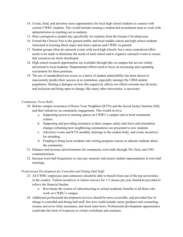- 14. Create, fund, and advertise more opportunities for local high school students to connect with current CWRU students. This would include creating a student-led recruitment team to work with administration in reaching out to students.
- 15. Host a prospective student day specifically for students from the Greater Cleveland area.
- 16. Extend the Choices Fair to the general public and local middle school and high school students interested in learning about major and minor options and CWRU in general.
- 17. Student groups often do outreach events with local high schools, but a more centralized effort needs to be made to determine the needs of each school and to organize outreach events to ensure that resources are fairly distributed.
- 18. High school research opportunities are available through labs on campus but are not widely advertised to local students. Departmental efforts need to focus on increasing and expanding recruitment for these positions.
- 19. The use of standardized test scores as a factor of student admissibility has been shown to inaccurately predict their success at an institution, especially amongst the URM student population. Starting a dialogue on how this negatively affects our efforts towards true diversity and inclusion and being open to change, like many other universities, is necessary.

#### *Community Town Halls:*

- 20. Bolster campus awareness of Know Your Neighbors (KYN) and the Social Justice Institute (SJI) and their initiatives on community engagement. This would involve:
	- a. Supporting access to meeting spaces on CWRU's campus and at local community centers.
	- b. Supporting and providing assistance to their campus safety task force and orientation changes reframing how neighboring communities are presented to new students.
	- c. Advertise events and KYN monthly meetings to the student body, and create incentives for attending.
	- d. Funding to bring local residents into writing program courses to educate students about the community.
- 21. Enhance and increase advertisements for community town halls through *The Daily* and USG communications.
- 22. Increase town hall frequencies to once per semester and ensure student representation at town hall meetings.

## *Professional Development for Custodial and Dining Hall Staff:*

- 23. All CWRU employees and contractors should be able to benefit from one of the top universities in the country. Tuition incentives or tuition waivers for 1-2 classes per year should be provided to relieve the financial burden.
	- a. Reevaluate the system of subcontracting to extend academic benefits to all those who work on CWRU's campus.
- 24. Additional professional development services should be more accessible, and provided free of charge to custodial and dining hall staff. Services could include career guidance and counseling, resume and cover letter assistance, and mock interviews. Professional development opportunities could take the form of in-person or virtual workshops and seminars.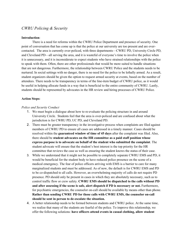# *CWRU Policing & Security*

#### **Introduction**:

There is a need for reforms within the CWRU Police Department and presence of security. One point of conversation that has come up is that the police at our university are too present and are overcontacted. The area is currently over-policed, with three departments––CWRU PD, University Circle PD, and Cleveland PD––all serving the area, and it is wasteful of everyone's time to involve the police when it is unnecessary, and it is inconsiderate to expect students who have strained relationships with the police to speak with them. Often, there are other professionals that would be more suited to handle situations that are not dangerous. Furthermore, the relationship between CWRU Police and the students needs to be nurtured. In social settings with no danger, there is no need for the police to be lethally armed. As a result, student organizers should be given the option to request armed security at events, based on the number of attendees. There needs to be transparency in terms of the line-item budget of CWRU police, as it would be useful in helping allocate funds in a way that is beneficial to the entire community of CWRU. Lastly, students should be represented by advocates in the HR review and hiring processes of CWRU Police.

#### **Action Steps:**

#### *Police and Security Conduct*

- 1. We must begin a dialogue about how to re-evaluate the policing structure in and around University Circle. Students feel that the area is over-policed and are confused about what the jurisdiction is for CWRU PD, UC PD, and Cleveland PD.
- 2. There must be greater transparency in the investigative process when complaints are filed against members of CWRU PD to ensure all cases are addressed in a timely manner. Cases should be resolved within the **guaranteed window of time of 45 days** after the complaint was filed. Also, there should be **student advocates on the HR committee as a paid staff position whose express purpose is to advocate on behalf of the student who submitted the complaint**. The student advocate will ensure that the student's best interest is the top priority for the HR committee that reviews the case as well as ensuring the student knows the status of their case.
- 3. While we understand that it might not be possible to completely separate CWRU EMS and PD, it would be beneficial for the student body to have reduced police presence on the scene of a medical emergency. The fear of police officers arriving with EMS is a barrier to care for many marginalized students and must be addressed. As of now, the default is for CWRU EMS and PD to be co-dispatched to all calls. However, an overwhelming majority of calls do not require PD presence. PD should only be present in cases in which they are absolutely necessary, such as to control traffic flow or crew safety. **CWRU EMS should be dispatched to the calls without PD and after assessing if the scene is safe, alert dispatch if PD is necessary or not.** Furthermore, for psychiatric emergencies, the counselor on-call should be available by means other than phone. **Rather than sending CWRU PD for those calls with CWRU EMS, the counselor on-call should be sent in person to de-escalate the situation.**
- 4. A better relationship needs to be formed between students and CWRU police. At the same time, we realize that many of the students are fearful of the police. To improve this relationship, we offer the following solutions: **have officers attend events in casual clothing, allow student**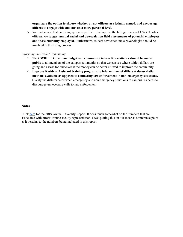**organizers the option to choose whether or not officers are lethally armed, and encourage officers to engage with students on a more personal level**.

5. We understand that no hiring system is perfect. To improve the hiring process of CWRU police officers, we suggest **annual racial and de-escalation field assessments of potential employees and those currently employed**. Furthermore, student advocates and a psychologist should be involved in the hiring process.

#### *Informing the CWRU Community*

- 6. The **CWRU PD line item budget and community interaction statistics should be made public** to all members of the campus community so that we can see where tuition dollars are going and assess for ourselves if the money can be better utilized to improve the community.
- 7. **Improve Resident Assistant training programs to inform them of different de-escalation methods available as opposed to contacting law enforcement in non-emergency situations.** Clarify the difference between emergency and non-emergency situations to campus residents to discourage unnecessary calls to law enforcement.

## **Notes***:*

Clic[k here](https://case.edu/diversity/sites/case.edu.diversity/files/2020-01/2019OIDEOannual_report.pdf) for the 2019 Annual Diversity Report. It does touch somewhat on the numbers that are associated with efforts around faculty representation. I was putting this on our radar as a reference point as it pertains to the numbers being included in this report.